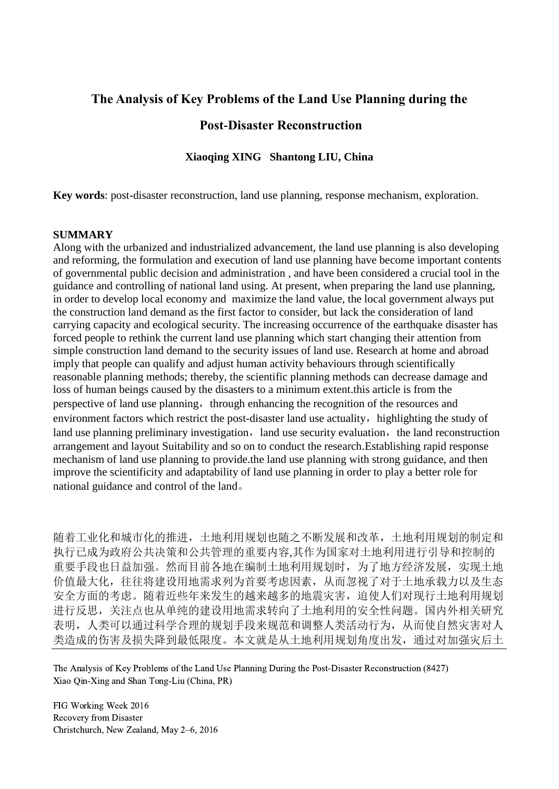# **The Analysis of Key Problems of the Land Use Planning during the**

## **Post-Disaster Reconstruction**

## **Xiaoqing XING Shantong LIU, China**

**Key words**: post-disaster reconstruction, land use planning, response mechanism, exploration.

#### **SUMMARY**

Along with the urbanized and industrialized advancement, the land use planning is also developing and reforming, the formulation and execution of land use planning have become important contents of governmental public decision and administration , and have been considered a crucial tool in the guidance and controlling of national land using. At present, when preparing the land use planning, in order to develop local economy and maximize the land value, the local government always put the construction land demand as the first factor to consider, but lack the consideration of land carrying capacity and ecological security. The increasing occurrence of the earthquake disaster has forced people to rethink the current land use planning which start changing their attention from simple construction land demand to the security issues of land use. Research at home and abroad imply that people can qualify and adjust human activity behaviours through scientifically reasonable planning methods; thereby, the scientific planning methods can decrease damage and loss of human beings caused by the disasters to a minimum extent.this article is from the perspective of land use planning, through enhancing the recognition of the resources and environment factors which restrict the post-disaster land use actuality, highlighting the study of land use planning preliminary investigation, land use security evaluation, the land reconstruction arrangement and layout Suitability and so on to conduct the research.Establishing rapid response mechanism of land use planning to provide.the land use planning with strong guidance, and then improve the scientificity and adaptability of land use planning in order to play a better role for national guidance and control of the land。

随着工业化和城市化的推进,土地利用规划也随之不断发展和改革,土地利用规划的制定和 执行已成为政府公共决策和公共管理的重要内容,其作为国家对土地利用进行引导和控制的 重要手段也日益加强。然而目前各地在编制土地利用规划时,为了地方经济发展,实现土地 价值最大化,往往将建设用地需求列为首要考虑因素,从而忽视了对于土地承载力以及生态 安全方面的考虑。随着近些年来发生的越来越多的地震灾害,迫使人们对现行土地利用规划 进行反思,关注点也从单纯的建设用地需求转向了土地利用的安全性问题。国内外相关研究 表明,人类可以通过科学合理的规划手段来规范和调整人类活动行为,从而使自然灾害对人 类造成的伤害及损失降到最低限度。本文就是从土地利用规划角度出发,通过对加强灾后土

The Analysis of Key Problems of the Land Use Planning During the Post-Disaster Reconstruction (8427) Xiao Qin-Xing and Shan Tong-Liu (China, PR)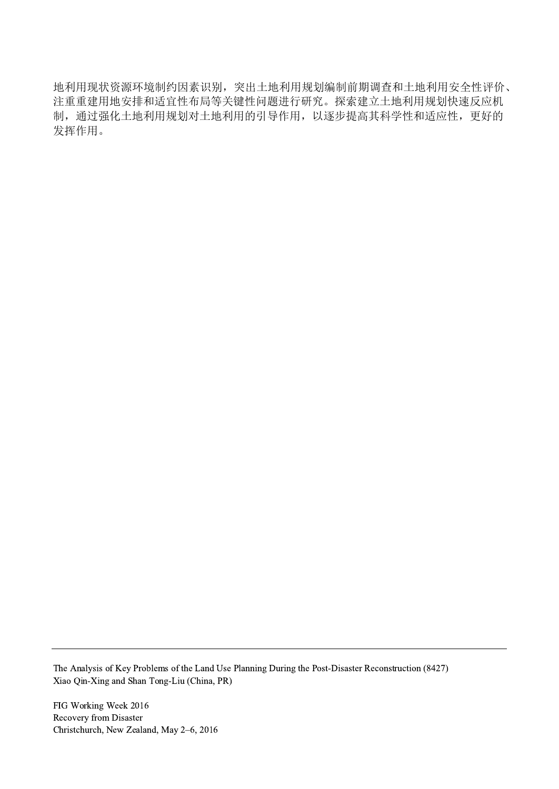地利用现状资源环境制约因素识别,突出土地利用规划编制前期调查和土地利用安全性评价、 注重重建用地安排和适宜性布局等关键性问题进行研究。探索建立土地利用规划快速反应机 制,通过强化土地利用规划对土地利用的引导作用,以逐步提高其科学性和适应性,更好的 发挥作用。

The Analysis of Key Problems of the Land Use Planning During the Post-Disaster Reconstruction (8427) Xiao Qin-Xing and Shan Tong-Liu (China, PR)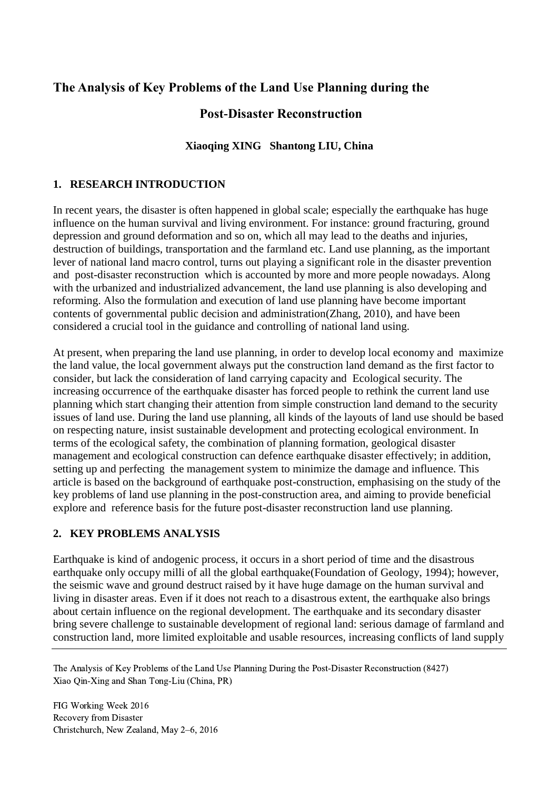# **The Analysis of Key Problems of the Land Use Planning during the**

# **Post-Disaster Reconstruction**

## **Xiaoqing XING Shantong LIU, China**

## **1. RESEARCH INTRODUCTION**

In recent years, the disaster is often happened in global scale; especially the earthquake has huge influence on the human survival and living environment. For instance: ground fracturing, ground depression and ground deformation and so on, which all may lead to the deaths and injuries, destruction of buildings, transportation and the farmland etc. Land use planning, as the important lever of national land macro control, turns out playing a significant role in the disaster prevention and post-disaster reconstruction which is accounted by more and more people nowadays. Along with the urbanized and industrialized advancement, the land use planning is also developing and reforming. Also the formulation and execution of land use planning have become important contents of governmental public decision and administration(Zhang, 2010), and have been considered a crucial tool in the guidance and controlling of national land using.

At present, when preparing the land use planning, in order to develop local economy and maximize the land value, the local government always put the construction land demand as the first factor to consider, but lack the consideration of land carrying capacity and Ecological security. The increasing occurrence of the earthquake disaster has forced people to rethink the current land use planning which start changing their attention from simple construction land demand to the security issues of land use. During the land use planning, all kinds of the layouts of land use should be based on respecting nature, insist sustainable development and protecting ecological environment. In terms of the ecological safety, the combination of planning formation, geological disaster management and ecological construction can defence earthquake disaster effectively; in addition, setting up and perfecting the management system to minimize the damage and influence. This article is based on the background of earthquake post-construction, emphasising on the study of the key problems of land use planning in the post-construction area, and aiming to provide beneficial explore and reference basis for the future post-disaster reconstruction land use planning.

## **2. KEY PROBLEMS ANALYSIS**

Earthquake is kind of andogenic process, it occurs in a short period of time and the disastrous earthquake only occupy milli of all the global earthquake(Foundation of Geology, 1994); however, the seismic wave and ground destruct raised by it have huge damage on the human survival and living in disaster areas. Even if it does not reach to a disastrous extent, the earthquake also brings about certain influence on the regional development. The earthquake and its secondary disaster bring severe challenge to sustainable development of regional land: serious damage of farmland and construction land, more limited exploitable and usable resources, increasing conflicts of land supply

The Analysis of Key Problems of the Land Use Planning During the Post-Disaster Reconstruction (8427) Xiao Qin-Xing and Shan Tong-Liu (China, PR)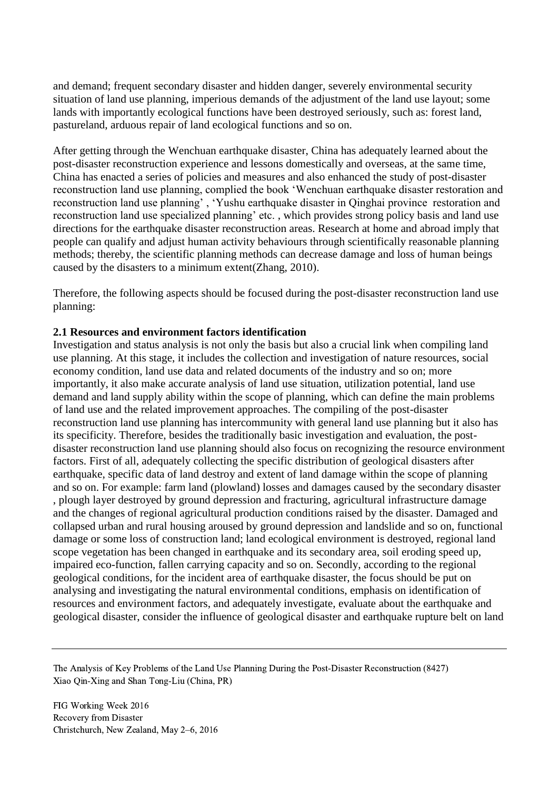and demand; frequent secondary disaster and hidden danger, severely environmental security situation of land use planning, imperious demands of the adjustment of the land use layout; some lands with importantly ecological functions have been destroyed seriously, such as: forest land, pastureland, arduous repair of land ecological functions and so on.

After getting through the Wenchuan earthquake disaster, China has adequately learned about the post-disaster reconstruction experience and lessons domestically and overseas, at the same time, China has enacted a series of policies and measures and also enhanced the study of post-disaster reconstruction land use planning, complied the book 'Wenchuan earthquake disaster restoration and reconstruction land use planning' , 'Yushu earthquake disaster in Qinghai province restoration and reconstruction land use specialized planning' etc. , which provides strong policy basis and land use directions for the earthquake disaster reconstruction areas. Research at home and abroad imply that people can qualify and adjust human activity behaviours through scientifically reasonable planning methods; thereby, the scientific planning methods can decrease damage and loss of human beings caused by the disasters to a minimum extent(Zhang, 2010).

Therefore, the following aspects should be focused during the post-disaster reconstruction land use planning:

### **2.1 Resources and environment factors identification**

Investigation and status analysis is not only the basis but also a crucial link when compiling land use planning. At this stage, it includes the collection and investigation of nature resources, social economy condition, land use data and related documents of the industry and so on; more importantly, it also make accurate analysis of land use situation, utilization potential, land use demand and land supply ability within the scope of planning, which can define the main problems of land use and the related improvement approaches. The compiling of the post-disaster reconstruction land use planning has intercommunity with general land use planning but it also has its specificity. Therefore, besides the traditionally basic investigation and evaluation, the postdisaster reconstruction land use planning should also focus on recognizing the resource environment factors. First of all, adequately collecting the specific distribution of geological disasters after earthquake, specific data of land destroy and extent of land damage within the scope of planning and so on. For example: farm land (plowland) losses and damages caused by the secondary disaster , plough layer destroyed by ground depression and fracturing, agricultural infrastructure damage and the changes of regional agricultural production conditions raised by the disaster. Damaged and collapsed urban and rural housing aroused by ground depression and landslide and so on, functional damage or some loss of construction land; land ecological environment is destroyed, regional land scope vegetation has been changed in earthquake and its secondary area, soil eroding speed up, impaired eco-function, fallen carrying capacity and so on. Secondly, according to the regional geological conditions, for the incident area of earthquake disaster, the focus should be put on analysing and investigating the natural environmental conditions, emphasis on identification of resources and environment factors, and adequately investigate, evaluate about the earthquake and geological disaster, consider the influence of geological disaster and earthquake rupture belt on land

The Analysis of Key Problems of the Land Use Planning During the Post-Disaster Reconstruction (8427) Xiao Qin-Xing and Shan Tong-Liu (China, PR)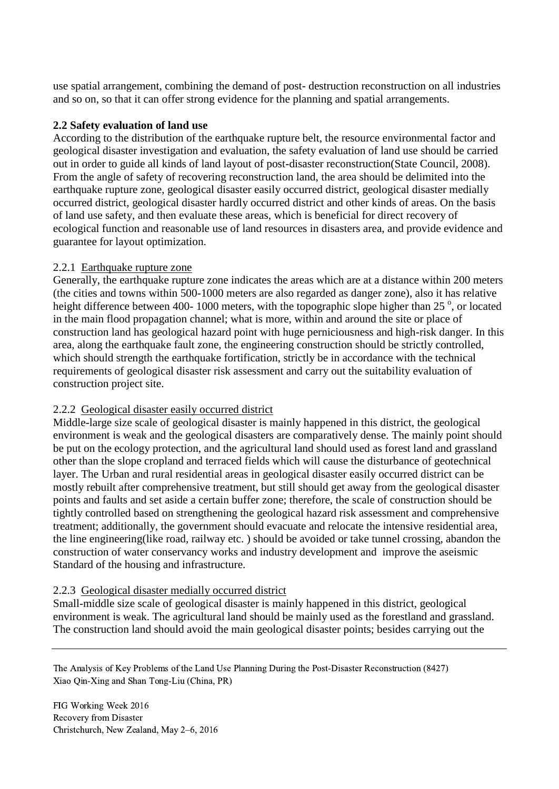use spatial arrangement, combining the demand of post- destruction reconstruction on all industries and so on, so that it can offer strong evidence for the planning and spatial arrangements.

### **2.2 Safety evaluation of land use**

According to the distribution of the earthquake rupture belt, the resource environmental factor and geological disaster investigation and evaluation, the safety evaluation of land use should be carried out in order to guide all kinds of land layout of post-disaster reconstruction(State Council, 2008). From the angle of safety of recovering reconstruction land, the area should be delimited into the earthquake rupture zone, geological disaster easily occurred district, geological disaster medially occurred district, geological disaster hardly occurred district and other kinds of areas. On the basis of land use safety, and then evaluate these areas, which is beneficial for direct recovery of ecological function and reasonable use of land resources in disasters area, and provide evidence and guarantee for layout optimization.

### 2.2.1 Earthquake rupture zone

Generally, the earthquake rupture zone indicates the areas which are at a distance within 200 meters (the cities and towns within 500-1000 meters are also regarded as danger zone), also it has relative height difference between 400-1000 meters, with the topographic slope higher than 25 $^{\circ}$ , or located in the main flood propagation channel; what is more, within and around the site or place of construction land has geological hazard point with huge perniciousness and high-risk danger. In this area, along the earthquake fault zone, the engineering construction should be strictly controlled, which should strength the earthquake fortification, strictly be in accordance with the technical requirements of geological disaster risk assessment and carry out the suitability evaluation of construction project site.

## 2.2.2 Geological disaster easily occurred district

Middle-large size scale of geological disaster is mainly happened in this district, the geological environment is weak and the geological disasters are comparatively dense. The mainly point should be put on the ecology protection, and the agricultural land should used as forest land and grassland other than the slope cropland and terraced fields which will cause the disturbance of geotechnical layer. The Urban and rural residential areas in geological disaster easily occurred district can be mostly rebuilt after comprehensive treatment, but still should get away from the geological disaster points and faults and set aside a certain buffer zone; therefore, the scale of construction should be tightly controlled based on strengthening the geological hazard risk assessment and comprehensive treatment; additionally, the government should evacuate and relocate the intensive residential area, the line engineering(like road, railway etc. ) should be avoided or take tunnel crossing, abandon the construction of water conservancy works and industry development and improve the aseismic Standard of the housing and infrastructure.

#### 2.2.3 Geological disaster medially occurred district

Small-middle size scale of geological disaster is mainly happened in this district, geological environment is weak. The agricultural land should be mainly used as the forestland and grassland. The construction land should avoid the main geological disaster points; besides carrying out the

The Analysis of Key Problems of the Land Use Planning During the Post-Disaster Reconstruction (8427) Xiao Qin-Xing and Shan Tong-Liu (China, PR)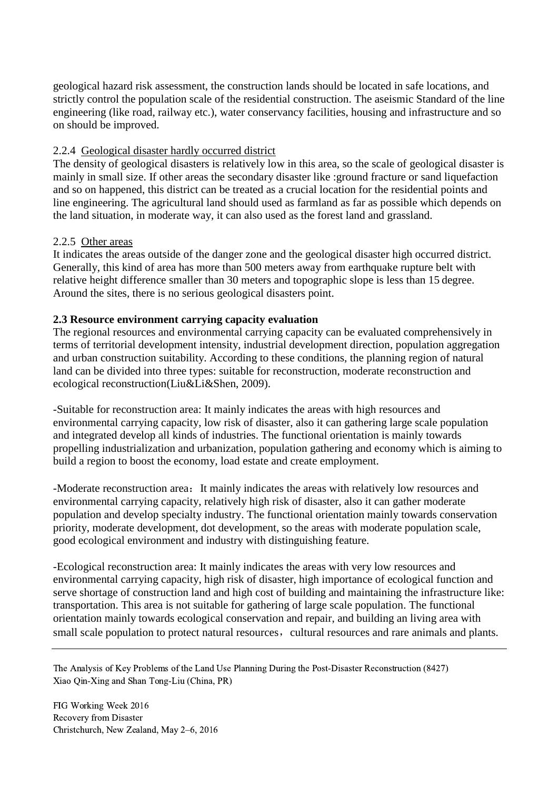geological hazard risk assessment, the construction lands should be located in safe locations, and strictly control the population scale of the residential construction. The aseismic Standard of the line engineering (like road, railway etc.), water conservancy facilities, housing and infrastructure and so on should be improved.

## 2.2.4 Geological disaster hardly occurred district

The density of geological disasters is relatively low in this area, so the scale of geological disaster is mainly in small size. If other areas the secondary disaster like :ground fracture or sand liquefaction and so on happened, this district can be treated as a crucial location for the residential points and line engineering. The agricultural land should used as farmland as far as possible which depends on the land situation, in moderate way, it can also used as the forest land and grassland.

## 2.2.5 Other areas

It indicates the areas outside of the danger zone and the geological disaster high occurred district. Generally, this kind of area has more than 500 meters away from earthquake rupture belt with relative height difference smaller than 30 meters and topographic slope is less than 15 degree. Around the sites, there is no serious geological disasters point.

## **2.3 Resource environment carrying capacity evaluation**

The regional resources and environmental carrying capacity can be evaluated comprehensively in terms of territorial development intensity, industrial development direction, population aggregation and urban construction suitability. According to these conditions, the planning region of natural land can be divided into three types: suitable for reconstruction, moderate reconstruction and ecological reconstruction(Liu&Li&Shen, 2009).

-Suitable for reconstruction area: It mainly indicates the areas with high resources and environmental carrying capacity, low risk of disaster, also it can gathering large scale population and integrated develop all kinds of industries. The functional orientation is mainly towards propelling industrialization and urbanization, population gathering and economy which is aiming to build a region to boost the economy, load estate and create employment.

-Moderate reconstruction area: It mainly indicates the areas with relatively low resources and environmental carrying capacity, relatively high risk of disaster, also it can gather moderate population and develop specialty industry. The functional orientation mainly towards conservation priority, moderate development, dot development, so the areas with moderate population scale, good ecological environment and industry with distinguishing feature.

-Ecological reconstruction area: It mainly indicates the areas with very low resources and environmental carrying capacity, high risk of disaster, high importance of ecological function and serve shortage of construction land and high cost of building and maintaining the infrastructure like: transportation. This area is not suitable for gathering of large scale population. The functional orientation mainly towards ecological conservation and repair, and building an living area with small scale population to protect natural resources, cultural resources and rare animals and plants.

The Analysis of Key Problems of the Land Use Planning During the Post-Disaster Reconstruction (8427) Xiao Qin-Xing and Shan Tong-Liu (China, PR)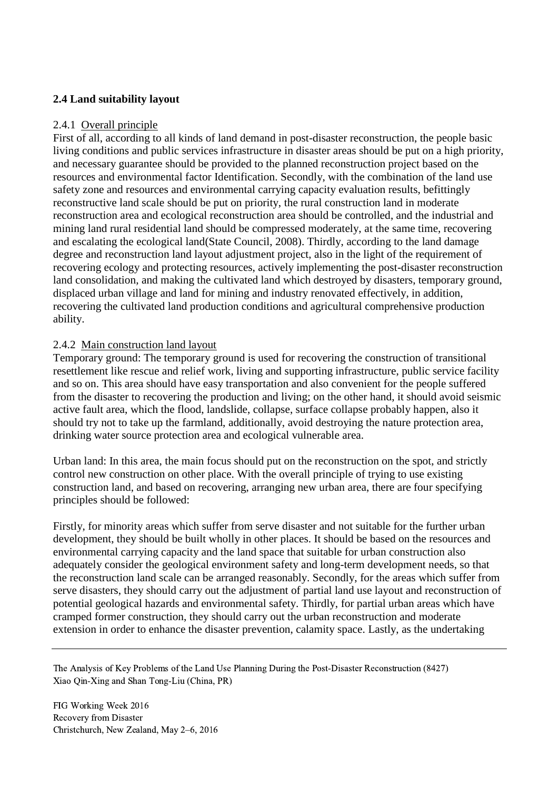## **2.4 Land suitability layout**

### 2.4.1 Overall principle

First of all, according to all kinds of land demand in post-disaster reconstruction, the people basic living conditions and public services infrastructure in disaster areas should be put on a high priority, and necessary guarantee should be provided to the planned reconstruction project based on the resources and environmental factor Identification. Secondly, with the combination of the land use safety zone and resources and environmental carrying capacity evaluation results, befittingly reconstructive land scale should be put on priority, the rural construction land in moderate reconstruction area and ecological reconstruction area should be controlled, and the industrial and mining land rural residential land should be compressed moderately, at the same time, recovering and escalating the ecological land(State Council, 2008). Thirdly, according to the land damage degree and reconstruction land layout adjustment project, also in the light of the requirement of recovering ecology and protecting resources, actively implementing the post-disaster reconstruction land consolidation, and making the cultivated land which destroyed by disasters, temporary ground, displaced urban village and land for mining and industry renovated effectively, in addition, recovering the cultivated land production conditions and agricultural comprehensive production ability.

### 2.4.2 Main construction land layout

Temporary ground: The temporary ground is used for recovering the construction of transitional resettlement like rescue and relief work, living and supporting infrastructure, public service facility and so on. This area should have easy transportation and also convenient for the people suffered from the disaster to recovering the production and living; on the other hand, it should avoid seismic active fault area, which the flood, landslide, collapse, surface collapse probably happen, also it should try not to take up the farmland, additionally, avoid destroying the nature protection area, drinking water source protection area and ecological vulnerable area.

Urban land: In this area, the main focus should put on the reconstruction on the spot, and strictly control new construction on other place. With the overall principle of trying to use existing construction land, and based on recovering, arranging new urban area, there are four specifying principles should be followed:

Firstly, for minority areas which suffer from serve disaster and not suitable for the further urban development, they should be built wholly in other places. It should be based on the resources and environmental carrying capacity and the land space that suitable for urban construction also adequately consider the geological environment safety and long-term development needs, so that the reconstruction land scale can be arranged reasonably. Secondly, for the areas which suffer from serve disasters, they should carry out the adjustment of partial land use layout and reconstruction of potential geological hazards and environmental safety. Thirdly, for partial urban areas which have cramped former construction, they should carry out the urban reconstruction and moderate extension in order to enhance the disaster prevention, calamity space. Lastly, as the undertaking

The Analysis of Key Problems of the Land Use Planning During the Post-Disaster Reconstruction (8427) Xiao Qin-Xing and Shan Tong-Liu (China, PR)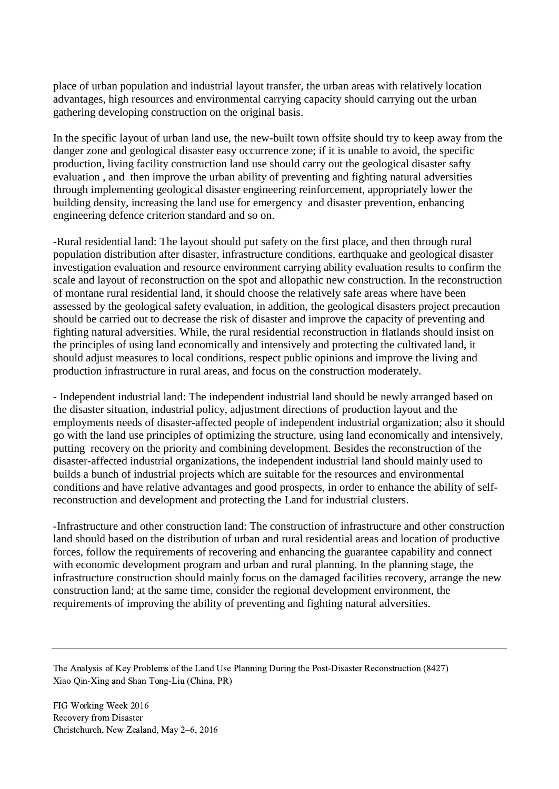place of urban population and industrial layout transfer, the urban areas with relatively location advantages, high resources and environmental carrying capacity should carrying out the urban gathering developing construction on the original basis.

In the specific layout of urban land use, the new-built town offsite should try to keep away from the danger zone and geological disaster easy occurrence zone; if it is unable to avoid, the specific production, living facility construction land use should carry out the geological disaster safty evaluation , and then improve the urban ability of preventing and fighting natural adversities through implementing geological disaster engineering reinforcement, appropriately lower the building density, increasing the land use for emergency and disaster prevention, enhancing engineering defence criterion standard and so on.

-Rural residential land: The layout should put safety on the first place, and then through rural population distribution after disaster, infrastructure conditions, earthquake and geological disaster investigation evaluation and resource environment carrying ability evaluation results to confirm the scale and layout of reconstruction on the spot and allopathic new construction. In the reconstruction of montane rural residential land, it should choose the relatively safe areas where have been assessed by the geological safety evaluation, in addition, the geological disasters project precaution should be carried out to decrease the risk of disaster and improve the capacity of preventing and fighting natural adversities. While, the rural residential reconstruction in flatlands should insist on the principles of using land economically and intensively and protecting the cultivated land, it should adjust measures to local conditions, respect public opinions and improve the living and production infrastructure in rural areas, and focus on the construction moderately.

- Independent industrial land: The independent industrial land should be newly arranged based on the disaster situation, industrial policy, adjustment directions of production layout and the employments needs of disaster-affected people of independent industrial organization; also it should go with the land use principles of optimizing the structure, using land economically and intensively, putting recovery on the priority and combining development. Besides the reconstruction of the disaster-affected industrial organizations, the independent industrial land should mainly used to builds a bunch of industrial projects which are suitable for the resources and environmental conditions and have relative advantages and good prospects, in order to enhance the ability of selfreconstruction and development and protecting the Land for industrial clusters.

-Infrastructure and other construction land: The construction of infrastructure and other construction land should based on the distribution of urban and rural residential areas and location of productive forces, follow the requirements of recovering and enhancing the guarantee capability and connect with economic development program and urban and rural planning. In the planning stage, the infrastructure construction should mainly focus on the damaged facilities recovery, arrange the new construction land; at the same time, consider the regional development environment, the requirements of improving the ability of preventing and fighting natural adversities.

The Analysis of Key Problems of the Land Use Planning During the Post-Disaster Reconstruction (8427) Xiao Qin-Xing and Shan Tong-Liu (China, PR)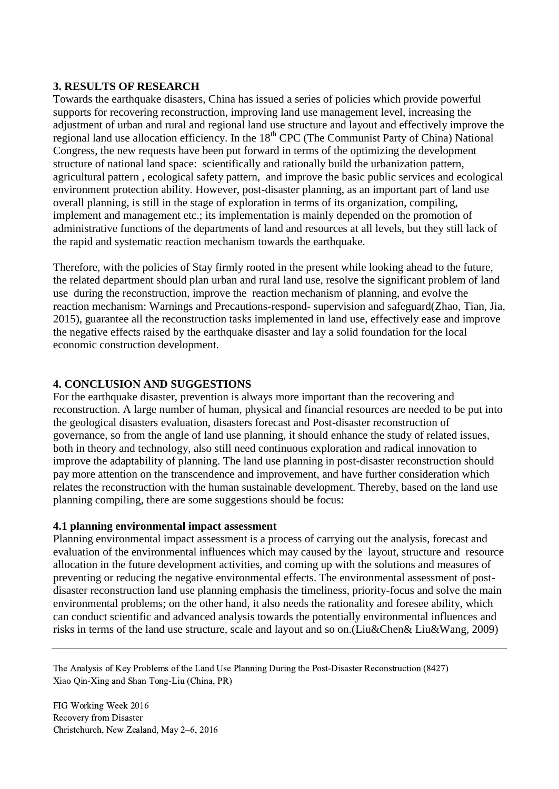### **3. RESULTS OF RESEARCH**

Towards the earthquake disasters, China has issued a series of policies which provide powerful supports for recovering reconstruction, improving land use management level, increasing the adjustment of urban and rural and regional land use structure and layout and effectively improve the regional land use allocation efficiency. In the  $18<sup>th</sup>$  CPC (The Communist Party of China) National Congress, the new requests have been put forward in terms of the optimizing the development structure of national land space: scientifically and rationally build the urbanization pattern, agricultural pattern , ecological safety pattern, and improve the basic public services and ecological environment protection ability. However, post-disaster planning, as an important part of land use overall planning, is still in the stage of exploration in terms of its organization, compiling, implement and management etc.; its implementation is mainly depended on the promotion of administrative functions of the departments of land and resources at all levels, but they still lack of the rapid and systematic reaction mechanism towards the earthquake.

Therefore, with the policies of Stay firmly rooted in the present while looking ahead to the future, the related department should plan urban and rural land use, resolve the significant problem of land use during the reconstruction, improve the reaction mechanism of planning, and evolve the reaction mechanism: Warnings and Precautions-respond- supervision and safeguard(Zhao, Tian, Jia, 2015), guarantee all the reconstruction tasks implemented in land use, effectively ease and improve the negative effects raised by the earthquake disaster and lay a solid foundation for the local economic construction development.

### **4. CONCLUSION AND SUGGESTIONS**

For the earthquake disaster, prevention is always more important than the recovering and reconstruction. A large number of human, physical and financial resources are needed to be put into the geological disasters evaluation, disasters forecast and Post-disaster reconstruction of governance, so from the angle of land use planning, it should enhance the study of related issues, both in theory and technology, also still need continuous exploration and radical innovation to improve the adaptability of planning. The land use planning in post-disaster reconstruction should pay more attention on the transcendence and improvement, and have further consideration which relates the reconstruction with the human sustainable development. Thereby, based on the land use planning compiling, there are some suggestions should be focus:

#### **4.1 planning environmental impact assessment**

Planning environmental impact assessment is a process of carrying out the analysis, forecast and evaluation of the environmental influences which may caused by the layout, structure and resource allocation in the future development activities, and coming up with the solutions and measures of preventing or reducing the negative environmental effects. The environmental assessment of postdisaster reconstruction land use planning emphasis the timeliness, priority-focus and solve the main environmental problems; on the other hand, it also needs the rationality and foresee ability, which can conduct scientific and advanced analysis towards the potentially environmental influences and risks in terms of the land use structure, scale and layout and so on.(Liu&Chen& Liu&Wang, 2009)

The Analysis of Key Problems of the Land Use Planning During the Post-Disaster Reconstruction (8427) Xiao Qin-Xing and Shan Tong-Liu (China, PR)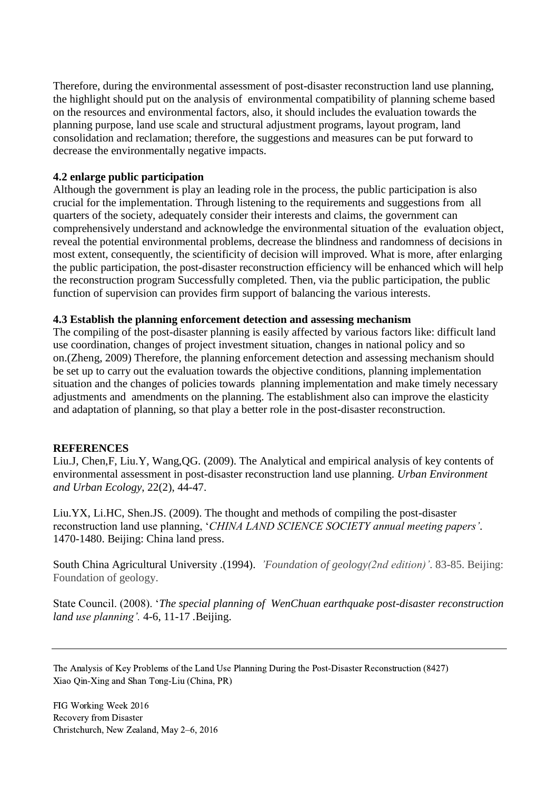Therefore, during the environmental assessment of post-disaster reconstruction land use planning, the highlight should put on the analysis of environmental compatibility of planning scheme based on the resources and environmental factors, also, it should includes the evaluation towards the planning purpose, land use scale and structural adjustment programs, layout program, land consolidation and reclamation; therefore, the suggestions and measures can be put forward to decrease the environmentally negative impacts.

### **4.2 enlarge public participation**

Although the government is play an leading role in the process, the public participation is also crucial for the implementation. Through listening to the requirements and suggestions from all quarters of the society, adequately consider their interests and claims, the government can comprehensively understand and acknowledge the environmental situation of the evaluation object, reveal the potential environmental problems, decrease the blindness and randomness of decisions in most extent, consequently, the scientificity of decision will improved. What is more, after enlarging the public participation, the post-disaster reconstruction efficiency will be enhanced which will help the reconstruction program Successfully completed. Then, via the public participation, the public function of supervision can provides firm support of balancing the various interests.

### **4.3 Establish the planning enforcement detection and assessing mechanism**

The compiling of the post-disaster planning is easily affected by various factors like: difficult land use coordination, changes of project investment situation, changes in national policy and so on.(Zheng, 2009) Therefore, the planning enforcement detection and assessing mechanism should be set up to carry out the evaluation towards the objective conditions, planning implementation situation and the changes of policies towards planning implementation and make timely necessary adjustments and amendments on the planning. The establishment also can improve the elasticity and adaptation of planning, so that play a better role in the post-disaster reconstruction.

## **REFERENCES**

Liu.J, Chen,F, Liu.Y, Wang,QG. (2009). The Analytical and empirical analysis of key contents of environmental assessment in post-disaster reconstruction land use planning. *Urban Environment and Urban Ecology*, 22(2), 44-47.

Liu.YX, Li.HC, Shen.JS. (2009). The thought and methods of compiling the post-disaster reconstruction land use planning, '*CHINA LAND SCIENCE SOCIETY annual meeting papers'.* 1470-1480. Beijing: China land press.

South China Agricultural University .(1994). *'Foundation of geology(2nd edition)'*. 83-85. Beijing: Foundation of geology.

State Council. (2008). '*The special planning of WenChuan earthquake post-disaster reconstruction land use planning'.* 4-6, 11-17 *.*Beijing.

The Analysis of Key Problems of the Land Use Planning During the Post-Disaster Reconstruction (8427) Xiao Qin-Xing and Shan Tong-Liu (China, PR)